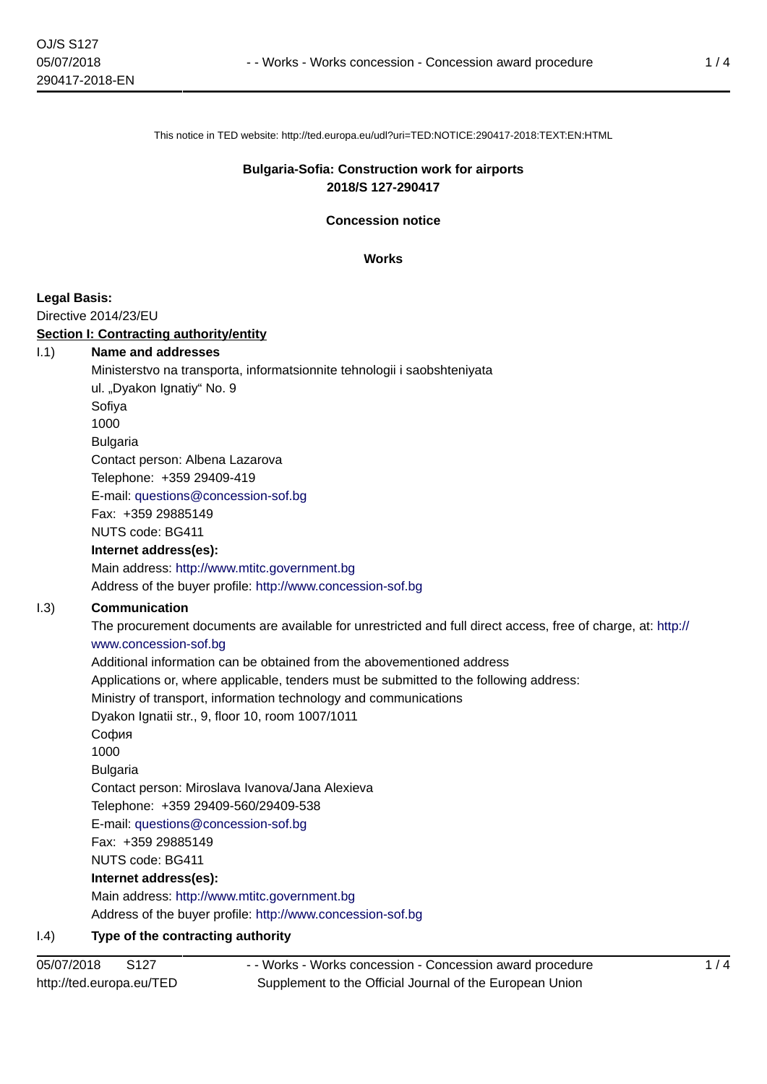This notice in TED website: http://ted.europa.eu/udl?uri=TED:NOTICE:290417-2018:TEXT:EN:HTML

# **Bulgaria-Sofia: Construction work for airports 2018/S 127-290417**

**Concession notice**

**Works**

# **Legal Basis:**

Directive 2014/23/EU

## **Section I: Contracting authority/entity**

- I.1) **Name and addresses**
	- Ministerstvo na transporta, informatsionnite tehnologii i saobshteniyata ul. "Dyakon Ignatiy" No. 9

Sofiya 1000

Bulgaria

Contact person: Albena Lazarova

Telephone: +359 29409-419

E-mail: [questions@concession-sof.bg](mailto:questions@concession-sof.bg) 

Fax: +359 29885149

NUTS code: BG411

## **Internet address(es):**

Main address:<http://www.mtitc.government.bg>

Address of the buyer profile: <http://www.concession-sof.bg>

# I.3) **Communication**

The procurement documents are available for unrestricted and full direct access, free of charge, at: [http://](http://www.concession-sof.bg) [www.concession-sof.bg](http://www.concession-sof.bg) Additional information can be obtained from the abovementioned address

Applications or, where applicable, tenders must be submitted to the following address:

Ministry of transport, information technology and communications

Dyakon Ignatii str., 9, floor 10, room 1007/1011

София

1000

Bulgaria

Contact person: Miroslava Ivanova/Jana Alexieva

Telephone: +359 29409-560/29409-538

E-mail: [questions@concession-sof.bg](mailto:questions@concession-sof.bg) 

Fax: +359 29885149

NUTS code: BG411

**Internet address(es):**

Main address:<http://www.mtitc.government.bg> Address of the buyer profile: <http://www.concession-sof.bg>

# I.4) **Type of the contracting authority**

- - Works - Works concession - Concession award procedure Supplement to the Official Journal of the European Union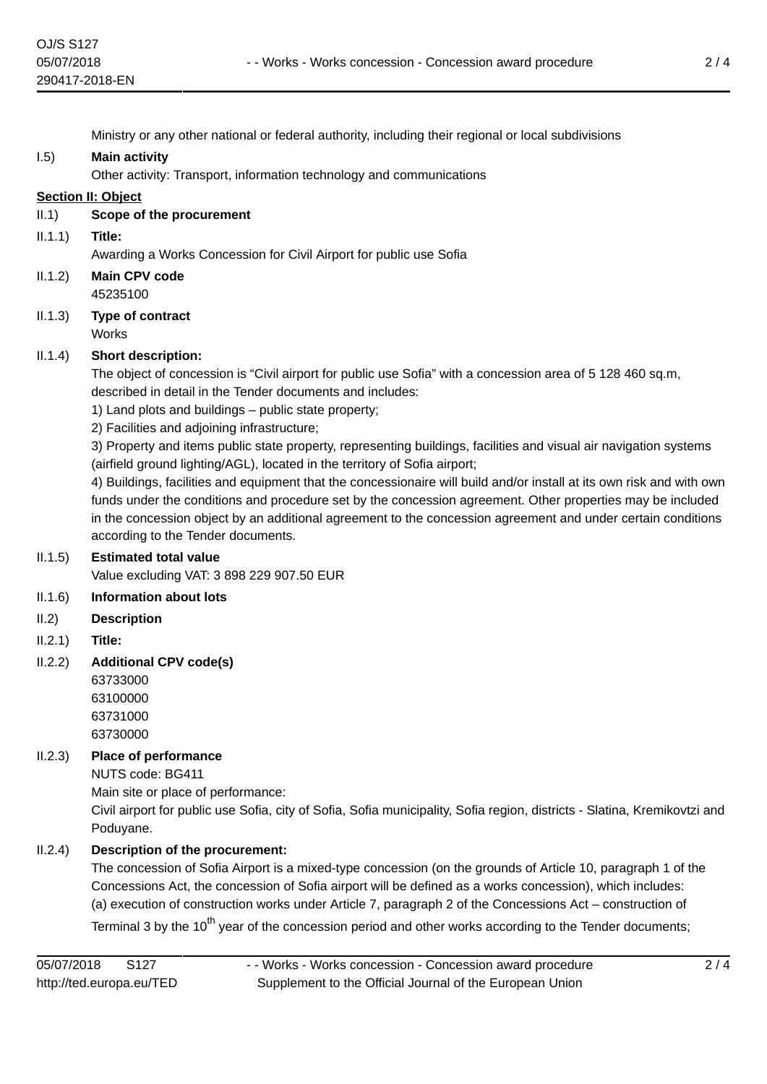Ministry or any other national or federal authority, including their regional or local subdivisions

# I.5) **Main activity**

Other activity: Transport, information technology and communications

# **Section II: Object**

- II.1) **Scope of the procurement**
- II.1.1) **Title:**

Awarding a Works Concession for Civil Airport for public use Sofia

- II.1.2) **Main CPV code** 45235100
- II.1.3) **Type of contract Works**

# II.1.4) **Short description:**

The object of concession is "Civil airport for public use Sofia" with a concession area of 5 128 460 sq.m, described in detail in the Tender documents and includes:

1) Land plots and buildings – public state property;

2) Facilities and adjoining infrastructure;

3) Property and items public state property, representing buildings, facilities and visual air navigation systems (airfield ground lighting/AGL), located in the territory of Sofia airport;

4) Buildings, facilities and equipment that the concessionaire will build and/or install at its own risk and with own funds under the conditions and procedure set by the concession agreement. Other properties may be included in the concession object by an additional agreement to the concession agreement and under certain conditions according to the Tender documents.

# II.1.5) **Estimated total value**

Value excluding VAT: 3 898 229 907.50 EUR

# II.1.6) **Information about lots**

- II.2) **Description**
- II.2.1) **Title:**
- II.2.2) **Additional CPV code(s)**

63733000 63100000 63731000 63730000

# II.2.3) **Place of performance**

NUTS code: BG411

Main site or place of performance:

Civil airport for public use Sofia, city of Sofia, Sofia municipality, Sofia region, districts - Slatina, Kremikovtzi and Poduyane.

# II.2.4) **Description of the procurement:**

The concession of Sofia Airport is a mixed-type concession (on the grounds of Article 10, paragraph 1 of the Concessions Act, the concession of Sofia airport will be defined as a works concession), which includes: (a) execution of construction works under Article 7, paragraph 2 of the Concessions Act – construction of

Terminal 3 by the 10<sup>th</sup> year of the concession period and other works according to the Tender documents;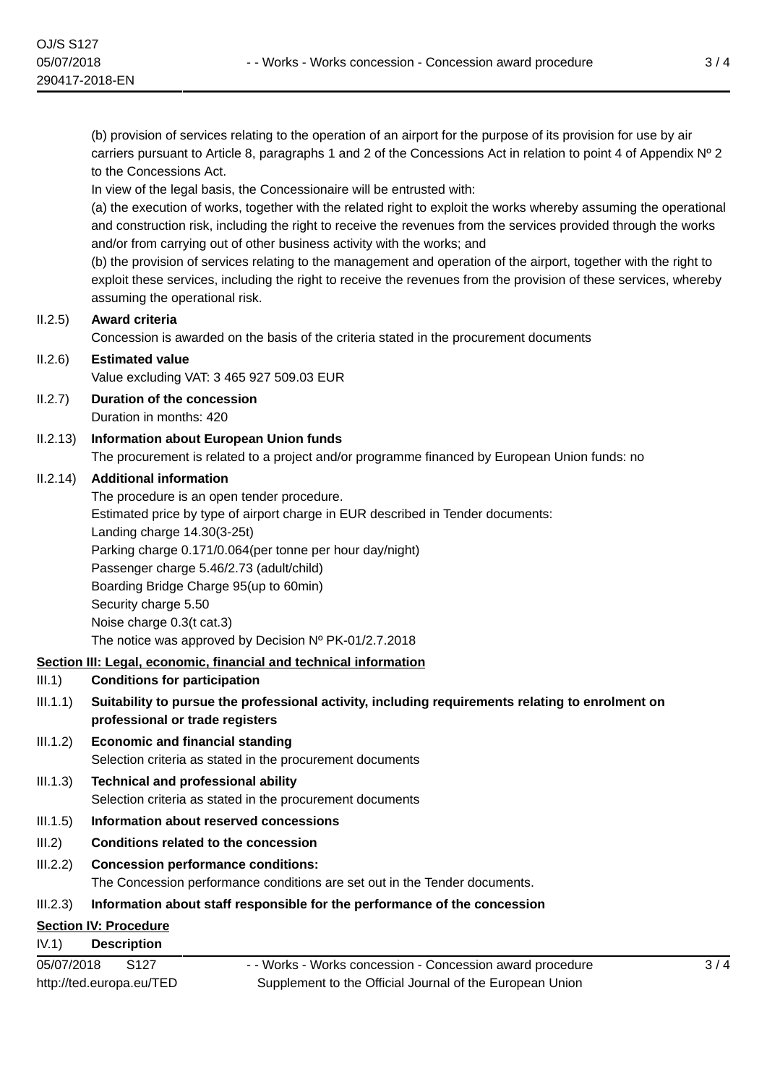(b) provision of services relating to the operation of an airport for the purpose of its provision for use by air carriers pursuant to Article 8, paragraphs 1 and 2 of the Concessions Act in relation to point 4 of Appendix Nº 2 to the Concessions Act.

In view of the legal basis, the Concessionaire will be entrusted with:

(a) the execution of works, together with the related right to exploit the works whereby assuming the operational and construction risk, including the right to receive the revenues from the services provided through the works and/or from carrying out of other business activity with the works; and

(b) the provision of services relating to the management and operation of the airport, together with the right to exploit these services, including the right to receive the revenues from the provision of these services, whereby assuming the operational risk.

## II.2.5) **Award criteria**

Concession is awarded on the basis of the criteria stated in the procurement documents

## II.2.6) **Estimated value**

Value excluding VAT: 3 465 927 509.03 EUR

- II.2.7) **Duration of the concession** Duration in months: 420
- II.2.13) **Information about European Union funds** The procurement is related to a project and/or programme financed by European Union funds: no

#### II.2.14) **Additional information**

The procedure is an open tender procedure. Estimated price by type of airport charge in EUR described in Tender documents: Landing charge 14.30(3-25t) Parking charge 0.171/0.064(per tonne per hour day/night) Passenger charge 5.46/2.73 (adult/child) Boarding Bridge Charge 95(up to 60min) Security charge 5.50 Noise charge 0.3(t cat.3) The notice was approved by Decision Nº PK-01/2.7.2018

## **Section III: Legal, economic, financial and technical information**

## III.1) **Conditions for participation**

- III.1.1) **Suitability to pursue the professional activity, including requirements relating to enrolment on professional or trade registers**
- III.1.2) **Economic and financial standing** Selection criteria as stated in the procurement documents

# III.1.3) **Technical and professional ability** Selection criteria as stated in the procurement documents

## III.1.5) **Information about reserved concessions**

III.2) **Conditions related to the concession**

## III.2.2) **Concession performance conditions:**

The Concession performance conditions are set out in the Tender documents.

## III.2.3) **Information about staff responsible for the performance of the concession**

# **Section IV: Procedure**

IV.1) **Description**

| 05/07/2018               | S <sub>127</sub> |
|--------------------------|------------------|
| http://ted.europa.eu/TED |                  |

- - Works - Works concession - Concession award procedure Supplement to the Official Journal of the European Union